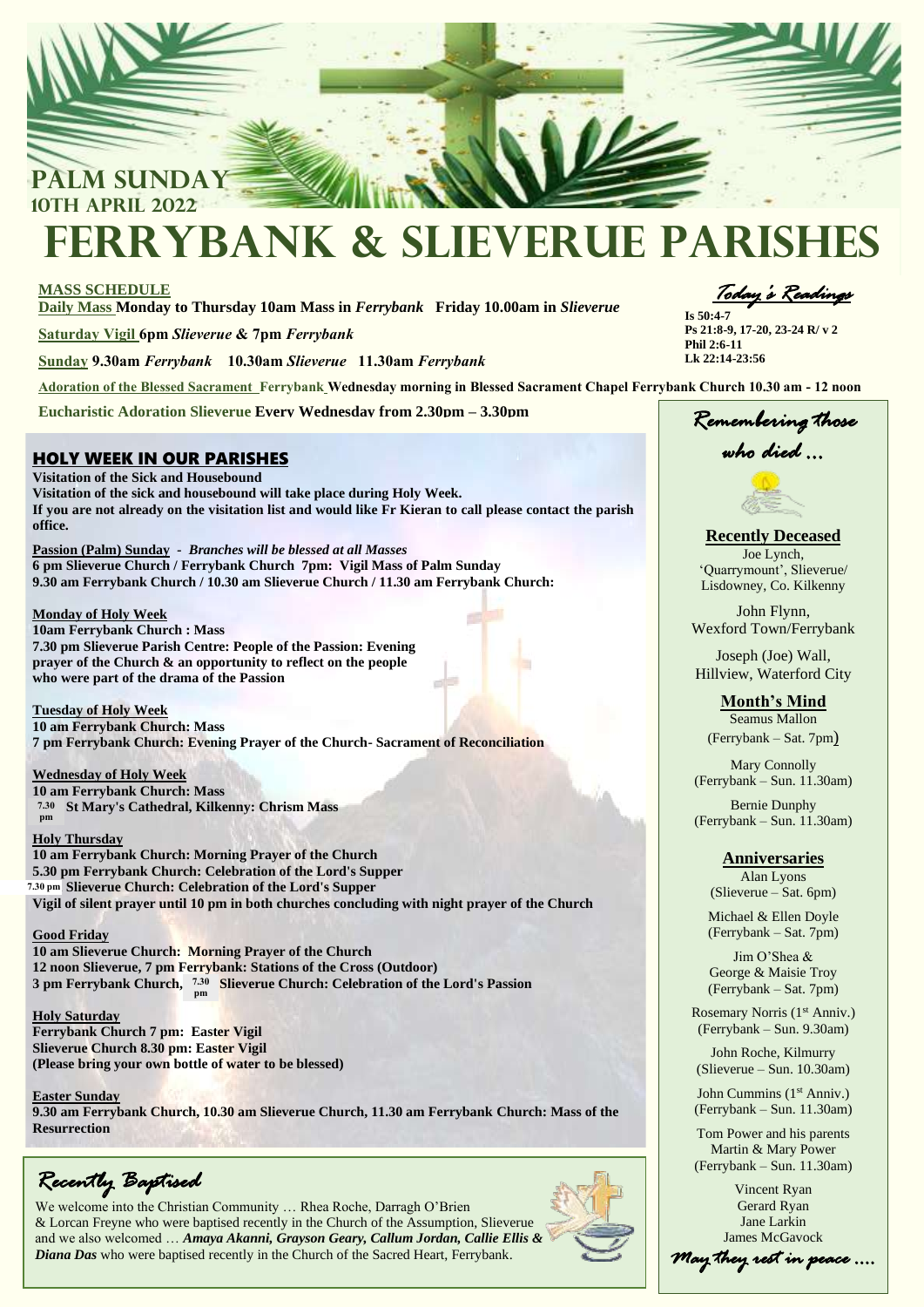

# **Ferrybank & Slieverue Parishes**

# **MASS SCHEDULE**

**Daily Mass Monday to Thursday 10am Mass in** *Ferrybank* **Friday 10.00am in** *Slieverue*

**Saturday Vigil 6pm** *Slieverue* **& 7pm** *Ferrybank*

**Sunday 9.30am** *Ferrybank* **10.30am** *Slieverue* **11.30am** *Ferrybank*

**Adoration of the Blessed Sacrament Ferrybank Wednesday morning in Blessed Sacrament Chapel Ferrybank Church 10.30 am - 12 noon**

**Eucharistic Adoration Slieverue Every Wednesday from 2.30pm – 3.30pm**

# HOLY WEEK IN OUR PARISHES

**Visitation of the Sick and Housebound Visitation of the sick and housebound will take place during Holy Week. If you are not already on the visitation list and would like Fr Kieran to call please contact the parish office.** 

 **Passion (Palm) Sunday** *- Branches will be blessed at all Masses*  **9.30 am Ferrybank Church / 10.30 am Slieverue Church / 11.30 am Ferrybank Church: 6 pm Slieverue Church / Ferrybank Church 7pm: Vigil Mass of Palm Sunday**

## **Monday of Holy Week**

**10am Ferrybank Church : Mass 7.30 pm Slieverue Parish Centre: People of the Passion: Evening prayer of the Church & an opportunity to reflect on the people who were part of the drama of the Passion**

#### **Tuesday of Holy Week**

**10 am Ferrybank Church: Mass 7 pm Ferrybank Church: Evening Prayer of the Church- Sacrament of Reconciliation**

# **Wednesday of Holy Week**

**10 am Ferrybank Church: Mass 7 pm St Mary's Cathedral, Kilkenny: Chrism Mass 7.30 pm**

### **Holy Thursday**

**10 am Ferrybank Church: Morning Prayer of the Church 5.30 pm Ferrybank Church: Celebration of the Lord's Supper 7 pm Slieverue Church: Celebration of the Lord's Supper 7.30 pm Vigil of silent prayer until 10 pm in both churches concluding with night prayer of the Church**

# **Good Friday**

**10 am Slieverue Church: Morning Prayer of the Church 12 noon Slieverue, 7 pm Ferrybank: Stations of the Cross (Outdoor) 3 pm Ferrybank Church, <sup>7.30</sup> Slieverue Church: Celebration of the Lord's Passion pm**

# **Holy Saturday**

**Ferrybank Church 7 pm: Easter Vigil Slieverue Church 8.30 pm: Easter Vigil (Please bring your own bottle of water to be blessed)**

**Easter Sunday 9.30 am Ferrybank Church, 10.30 am Slieverue Church, 11.30 am Ferrybank Church: Mass of the Resurrection**

*Recently Baptised* 

We welcome into the Christian Community … Rhea Roche, Darragh O'Brien & Lorcan Freyne who were baptised recently in the Church of the Assumption, Slieverue and we also welcomed … *Amaya Akanni, Grayson Geary, Callum Jordan, Callie Ellis & Diana Das* who were baptised recently in the Church of the Sacred Heart, Ferrybank.



*Today's Readings* 

**Is 50:4-7** **Ps 21:8-9, 17-20, 23-24 R/ v 2 Phil 2:6-11 Lk 22:14-23:56**

*Remembering those who died …* 

**Recently Deceased**

Joe Lynch, 'Quarrymount', Slieverue/ Lisdowney, Co. Kilkenny

John Flynn, Wexford Town/Ferrybank

Joseph (Joe) Wall, Hillview, Waterford City

**Month's Mind** Seamus Mallon (Ferrybank – Sat. 7pm)

Mary Connolly (Ferrybank – Sun. 11.30am)

Bernie Dunphy (Ferrybank – Sun. 11.30am)

# **Anniversaries**

Alan Lyons (Slieverue – Sat. 6pm)

Michael & Ellen Doyle (Ferrybank – Sat. 7pm)

Jim O'Shea & George & Maisie Troy (Ferrybank – Sat. 7pm)

Rosemary Norris (1<sup>st</sup> Anniv.) (Ferrybank – Sun. 9.30am)

John Roche, Kilmurry (Slieverue – Sun. 10.30am)

John Cummins (1<sup>st</sup> Anniv.) (Ferrybank – Sun. 11.30am)

Tom Power and his parents Martin & Mary Power (Ferrybank – Sun. 11.30am)

Vincent Ryan Gerard Ryan Jane Larkin James McGavock

*May they rest in peace ….*